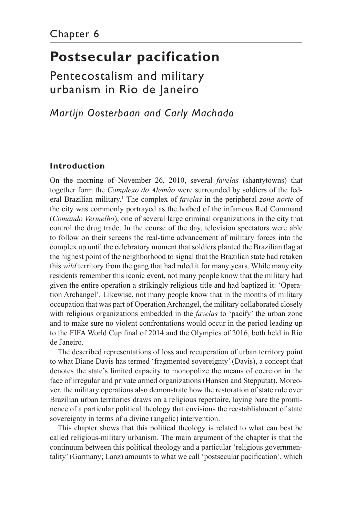# **Postsecular pacification**

Pentecostalism and military urbanism in Rio de Janeiro

*Martijn Oosterbaan and Carly Machado*

# **Introduction**

On the morning of November 26, 2010, several *favelas* (shantytowns) that together form the *Complexo do Alemão* were surrounded by soldiers of the federal Brazilian military.<sup>1</sup> The complex of *favelas* in the peripheral *zona norte* of the city was commonly portrayed as the hotbed of the infamous Red Command (*Comando Vermelho*), one of several large criminal organizations in the city that control the drug trade. In the course of the day, television spectators were able to follow on their screens the real-time advancement of military forces into the complex up until the celebratory moment that soldiers planted the Brazilian flag at the highest point of the neighborhood to signal that the Brazilian state had retaken this *wild* territory from the gang that had ruled it for many years. While many city residents remember this iconic event, not many people know that the military had given the entire operation a strikingly religious title and had baptized it: 'Operation Archangel'. Likewise, not many people know that in the months of military occupation that was part of Operation Archangel, the military collaborated closely with religious organizations embedded in the *favelas* to 'pacify' the urban zone and to make sure no violent confrontations would occur in the period leading up to the FIFA World Cup final of 2014 and the Olympics of 2016, both held in Rio de Janeiro.

The described representations of loss and recuperation of urban territory point to what Diane Davis has termed 'fragmented sovereignty' (Davis), a concept that denotes the state's limited capacity to monopolize the means of coercion in the face of irregular and private armed organizations (Hansen and Stepputat). Moreover, the military operations also demonstrate how the restoration of state rule over Brazilian urban territories draws on a religious repertoire, laying bare the prominence of a particular political theology that envisions the reestablishment of state sovereignty in terms of a divine (angelic) intervention.

This chapter shows that this political theology is related to what can best be called religious-military urbanism. The main argument of the chapter is that the continuum between this political theology and a particular 'religious governmentality' (Garmany; Lanz) amounts to what we call 'postsecular pacification', which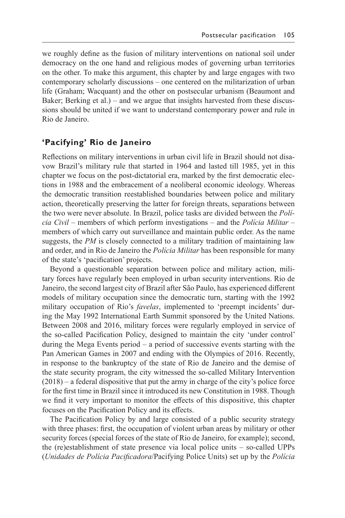we roughly define as the fusion of military interventions on national soil under democracy on the one hand and religious modes of governing urban territories on the other. To make this argument, this chapter by and large engages with two contemporary scholarly discussions – one centered on the militarization of urban life (Graham; Wacquant) and the other on postsecular urbanism (Beaumont and Baker; Berking et al.) – and we argue that insights harvested from these discussions should be united if we want to understand contemporary power and rule in Rio de Janeiro.

## **'Pacifying' Rio de Janeiro**

Reflections on military interventions in urban civil life in Brazil should not disavow Brazil's military rule that started in 1964 and lasted till 1985, yet in this chapter we focus on the post-dictatorial era, marked by the first democratic elections in 1988 and the embracement of a neoliberal economic ideology. Whereas the democratic transition reestablished boundaries between police and military action, theoretically preserving the latter for foreign threats, separations between the two were never absolute. In Brazil, police tasks are divided between the *Polícia Civil* – members of which perform investigations – and the *Polícia Militar –* members of which carry out surveillance and maintain public order. As the name suggests, the *PM* is closely connected to a military tradition of maintaining law and order, and in Rio de Janeiro the *Polícia Militar* has been responsible for many of the state's 'pacification' projects.

Beyond a questionable separation between police and military action, military forces have regularly been employed in urban security interventions. Rio de Janeiro, the second largest city of Brazil after São Paulo, has experienced different models of military occupation since the democratic turn, starting with the 1992 military occupation of Rio's *favelas*, implemented to 'preempt incidents' during the May 1992 International Earth Summit sponsored by the United Nations. Between 2008 and 2016, military forces were regularly employed in service of the so-called Pacification Policy, designed to maintain the city 'under control' during the Mega Events period – a period of successive events starting with the Pan American Games in 2007 and ending with the Olympics of 2016. Recently, in response to the bankruptcy of the state of Rio de Janeiro and the demise of the state security program, the city witnessed the so-called Military Intervention (2018) – a federal dispositive that put the army in charge of the city's police force for the first time in Brazil since it introduced its new Constitution in 1988. Though we find it very important to monitor the effects of this dispositive, this chapter focuses on the Pacification Policy and its effects.

The Pacification Policy by and large consisted of a public security strategy with three phases: first, the occupation of violent urban areas by military or other security forces (special forces of the state of Rio de Janeiro, for example); second, the (re)establishment of state presence via local police units – so-called UPPs (*Unidades de Polícia Pacificadora*/Pacifying Police Units) set up by the *Polícia*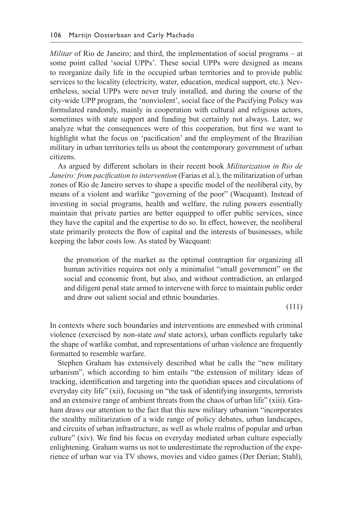*Militar* of Rio de Janeiro; and third, the implementation of social programs – at some point called 'social UPPs'. These social UPPs were designed as means to reorganize daily life in the occupied urban territories and to provide public services to the locality (electricity, water, education, medical support, etc.). Nevertheless, social UPPs were never truly installed, and during the course of the city-wide UPP program, the 'nonviolent', social face of the Pacifying Policy was formulated randomly, mainly in cooperation with cultural and religious actors, sometimes with state support and funding but certainly not always. Later, we analyze what the consequences were of this cooperation, but first we want to highlight what the focus on 'pacification' and the employment of the Brazilian military in urban territories tells us about the contemporary government of urban citizens.

As argued by different scholars in their recent book *Militarization in Rio de Janeiro: from pacification to intervention* (Farias et al.), the militarization of urban zones of Rio de Janeiro serves to shape a specific model of the neoliberal city, by means of a violent and warlike "governing of the poor" (Wacquant). Instead of investing in social programs, health and welfare, the ruling powers essentially maintain that private parties are better equipped to offer public services, since they have the capital and the expertise to do so. In effect, however, the neoliberal state primarily protects the flow of capital and the interests of businesses, while keeping the labor costs low. As stated by Wacquant:

the promotion of the market as the optimal contraption for organizing all human activities requires not only a minimalist "small government" on the social and economic front, but also, and without contradiction, an enlarged and diligent penal state armed to intervene with force to maintain public order and draw out salient social and ethnic boundaries.

(111)

In contexts where such boundaries and interventions are enmeshed with criminal violence (exercised by non-state *and* state actors), urban conflicts regularly take the shape of warlike combat, and representations of urban violence are frequently formatted to resemble warfare.

Stephen Graham has extensively described what he calls the "new military urbanism", which according to him entails "the extension of military ideas of tracking, identification and targeting into the quotidian spaces and circulations of everyday city life" (xii), focusing on "the task of identifying insurgents, terrorists and an extensive range of ambient threats from the chaos of urban life" (xiii). Graham draws our attention to the fact that this new military urbanism "incorporates the stealthy militarization of a wide range of policy debates, urban landscapes, and circuits of urban infrastructure, as well as whole realms of popular and urban culture" (xiv). We find his focus on everyday mediated urban culture especially enlightening. Graham warns us not to underestimate the reproduction of the experience of urban war via TV shows, movies and video games (Der Derian; Stahl),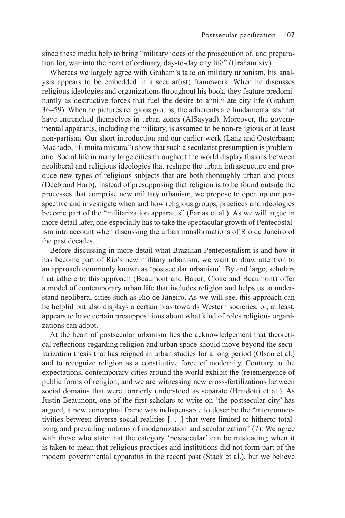since these media help to bring "military ideas of the prosecution of, and preparation for, war into the heart of ordinary, day-to-day city life" (Graham xiv).

Whereas we largely agree with Graham's take on military urbanism, his analysis appears to be embedded in a secular(ist) framework. When he discusses religious ideologies and organizations throughout his book, they feature predominantly as destructive forces that fuel the desire to annihilate city life (Graham 36–59). When he pictures religious groups, the adherents are fundamentalists that have entrenched themselves in urban zones (AlSayyad). Moreover, the governmental apparatus, including the military, is assumed to be non-religious or at least non-partisan. Our short introduction and our earlier work (Lanz and Oosterbaan; Machado, "É muita mistura") show that such a secularist presumption is problematic. Social life in many large cities throughout the world display fusions between neoliberal and religious ideologies that reshape the urban infrastructure and produce new types of religious subjects that are both thoroughly urban and pious (Deeb and Harb). Instead of presupposing that religion is to be found outside the processes that comprise new military urbanism, we propose to open up our perspective and investigate when and how religious groups, practices and ideologies become part of the "militarization apparatus" (Farias et al.). As we will argue in more detail later, one especially has to take the spectacular growth of Pentecostalism into account when discussing the urban transformations of Rio de Janeiro of the past decades.

Before discussing in more detail what Brazilian Pentecostalism is and how it has become part of Rio's new military urbanism, we want to draw attention to an approach commonly known as 'postsecular urbanism'. By and large, scholars that adhere to this approach (Beaumont and Baker; Cloke and Beaumont) offer a model of contemporary urban life that includes religion and helps us to understand neoliberal cities such as Rio de Janeiro. As we will see, this approach can be helpful but also displays a certain bias towards Western societies, or, at least, appears to have certain presuppositions about what kind of roles religious organizations can adopt.

At the heart of postsecular urbanism lies the acknowledgement that theoretical reflections regarding religion and urban space should move beyond the secularization thesis that has reigned in urban studies for a long period (Olson et al.) and to recognize religion as a constitutive force of modernity. Contrary to the expectations, contemporary cities around the world exhibit the (re)emergence of public forms of religion, and we are witnessing new cross-fertilizations between social domains that were formerly understood as separate (Braidotti et al.). As Justin Beaumont, one of the first scholars to write on 'the postsecular city' has argued, a new conceptual frame was indispensable to describe the "interconnectivities between diverse social realities [. . .] that were limited to hitherto totalizing and prevailing notions of modernization and secularization" (7). We agree with those who state that the category 'postsecular' can be misleading when it is taken to mean that religious practices and institutions did not form part of the modern governmental apparatus in the recent past (Stack et al.), but we believe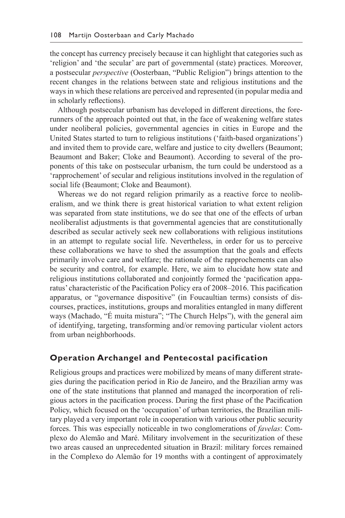the concept has currency precisely because it can highlight that categories such as 'religion' and 'the secular' are part of governmental (state) practices. Moreover, a postsecular *perspective* (Oosterbaan, "Public Religion") brings attention to the recent changes in the relations between state and religious institutions and the ways in which these relations are perceived and represented (in popular media and in scholarly reflections).

Although postsecular urbanism has developed in different directions, the forerunners of the approach pointed out that, in the face of weakening welfare states under neoliberal policies, governmental agencies in cities in Europe and the United States started to turn to religious institutions ('faith-based organizations') and invited them to provide care, welfare and justice to city dwellers (Beaumont; Beaumont and Baker; Cloke and Beaumont). According to several of the proponents of this take on postsecular urbanism, the turn could be understood as a 'rapprochement' of secular and religious institutions involved in the regulation of social life (Beaumont; Cloke and Beaumont).

Whereas we do not regard religion primarily as a reactive force to neoliberalism, and we think there is great historical variation to what extent religion was separated from state institutions, we do see that one of the effects of urban neoliberalist adjustments is that governmental agencies that are constitutionally described as secular actively seek new collaborations with religious institutions in an attempt to regulate social life. Nevertheless, in order for us to perceive these collaborations we have to shed the assumption that the goals and effects primarily involve care and welfare; the rationale of the rapprochements can also be security and control, for example. Here, we aim to elucidate how state and religious institutions collaborated and conjointly formed the 'pacification apparatus' characteristic of the Pacification Policy era of 2008–2016. This pacification apparatus, or "governance dispositive" (in Foucaultian terms) consists of discourses, practices, institutions, groups and moralities entangled in many different ways (Machado, "É muita mistura"; "The Church Helps"), with the general aim of identifying, targeting, transforming and/or removing particular violent actors from urban neighborhoods.

## **Operation Archangel and Pentecostal pacification**

Religious groups and practices were mobilized by means of many different strategies during the pacification period in Rio de Janeiro, and the Brazilian army was one of the state institutions that planned and managed the incorporation of religious actors in the pacification process. During the first phase of the Pacification Policy, which focused on the 'occupation' of urban territories, the Brazilian military played a very important role in cooperation with various other public security forces. This was especially noticeable in two conglomerations of *favelas*: Complexo do Alemão and Maré. Military involvement in the securitization of these two areas caused an unprecedented situation in Brazil: military forces remained in the Complexo do Alemão for 19 months with a contingent of approximately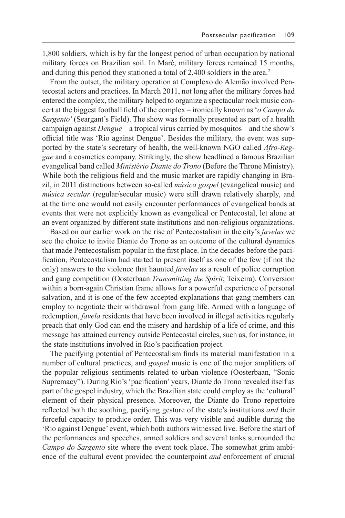1,800 soldiers, which is by far the longest period of urban occupation by national military forces on Brazilian soil. In Maré, military forces remained 15 months, and during this period they stationed a total of 2,400 soldiers in the area.<sup>2</sup>

From the outset, the military operation at Complexo do Alemão involved Pentecostal actors and practices. In March 2011, not long after the military forces had entered the complex, the military helped to organize a spectacular rock music concert at the biggest football field of the complex – ironically known as '*o Campo do Sargento*' (Seargant's Field). The show was formally presented as part of a health campaign against *Dengue* – a tropical virus carried by mosquitos – and the show's official title was 'Rio against Dengue'. Besides the military, the event was supported by the state's secretary of health, the well-known NGO called *Afro-Reggae* and a cosmetics company. Strikingly, the show headlined a famous Brazilian evangelical band called *Ministério Diante do Trono* (Before the Throne Ministry). While both the religious field and the music market are rapidly changing in Brazil, in 2011 distinctions between so-called *música gospel* (evangelical music) and *música secular* (regular/secular music) were still drawn relatively sharply, and at the time one would not easily encounter performances of evangelical bands at events that were not explicitly known as evangelical or Pentecostal, let alone at an event organized by different state institutions and non-religious organizations.

Based on our earlier work on the rise of Pentecostalism in the city's *favelas* we see the choice to invite Diante do Trono as an outcome of the cultural dynamics that made Pentecostalism popular in the first place. In the decades before the pacification, Pentecostalism had started to present itself as one of the few (if not the only) answers to the violence that haunted *favelas* as a result of police corruption and gang competition (Oosterbaan *Transmitting the Spirit*; Teixeira). Conversion within a born-again Christian frame allows for a powerful experience of personal salvation, and it is one of the few accepted explanations that gang members can employ to negotiate their withdrawal from gang life. Armed with a language of redemption, *favela* residents that have been involved in illegal activities regularly preach that only God can end the misery and hardship of a life of crime, and this message has attained currency outside Pentecostal circles, such as, for instance, in the state institutions involved in Rio's pacification project.

The pacifying potential of Pentecostalism finds its material manifestation in a number of cultural practices, and *gospel* music is one of the major amplifiers of the popular religious sentiments related to urban violence (Oosterbaan, "Sonic Supremacy"). During Rio's 'pacification' years, Diante do Trono revealed itself as part of the gospel industry, which the Brazilian state could employ as the 'cultural' element of their physical presence. Moreover, the Diante do Trono repertoire reflected both the soothing, pacifying gesture of the state's institutions *and* their forceful capacity to produce order. This was very visible and audible during the 'Rio against Dengue' event, which both authors witnessed live. Before the start of the performances and speeches, armed soldiers and several tanks surrounded the *Campo do Sargento* site where the event took place. The somewhat grim ambience of the cultural event provided the counterpoint *and* enforcement of crucial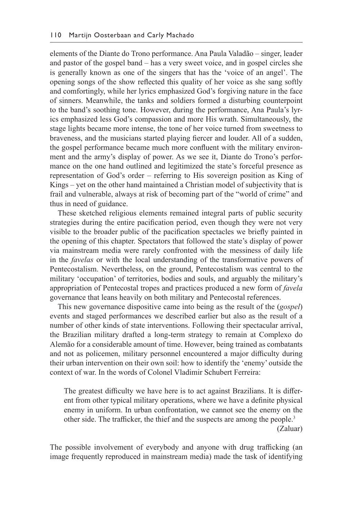elements of the Diante do Trono performance. Ana Paula Valadão – singer, leader and pastor of the gospel band – has a very sweet voice, and in gospel circles she is generally known as one of the singers that has the 'voice of an angel'. The opening songs of the show reflected this quality of her voice as she sang softly and comfortingly, while her lyrics emphasized God's forgiving nature in the face of sinners. Meanwhile, the tanks and soldiers formed a disturbing counterpoint to the band's soothing tone. However, during the performance, Ana Paula's lyrics emphasized less God's compassion and more His wrath. Simultaneously, the stage lights became more intense, the tone of her voice turned from sweetness to braveness, and the musicians started playing fiercer and louder. All of a sudden, the gospel performance became much more confluent with the military environment and the army's display of power. As we see it, Diante do Trono's performance on the one hand outlined and legitimized the state's forceful presence as representation of God's order – referring to His sovereign position as King of Kings – yet on the other hand maintained a Christian model of subjectivity that is frail and vulnerable, always at risk of becoming part of the "world of crime" and thus in need of guidance.

These sketched religious elements remained integral parts of public security strategies during the entire pacification period, even though they were not very visible to the broader public of the pacification spectacles we briefly painted in the opening of this chapter. Spectators that followed the state's display of power via mainstream media were rarely confronted with the messiness of daily life in the *favelas* or with the local understanding of the transformative powers of Pentecostalism. Nevertheless, on the ground, Pentecostalism was central to the military 'occupation' of territories, bodies and souls, and arguably the military's appropriation of Pentecostal tropes and practices produced a new form of *favela* governance that leans heavily on both military and Pentecostal references.

This new governance dispositive came into being as the result of the (*gospel*) events and staged performances we described earlier but also as the result of a number of other kinds of state interventions. Following their spectacular arrival, the Brazilian military drafted a long-term strategy to remain at Complexo do Alemão for a considerable amount of time. However, being trained as combatants and not as policemen, military personnel encountered a major difficulty during their urban intervention on their own soil: how to identify the 'enemy' outside the context of war. In the words of Colonel Vladimir Schubert Ferreira:

The greatest difficulty we have here is to act against Brazilians. It is different from other typical military operations, where we have a definite physical enemy in uniform. In urban confrontation, we cannot see the enemy on the other side. The trafficker, the thief and the suspects are among the people.<sup>3</sup> (Zaluar)

The possible involvement of everybody and anyone with drug trafficking (an image frequently reproduced in mainstream media) made the task of identifying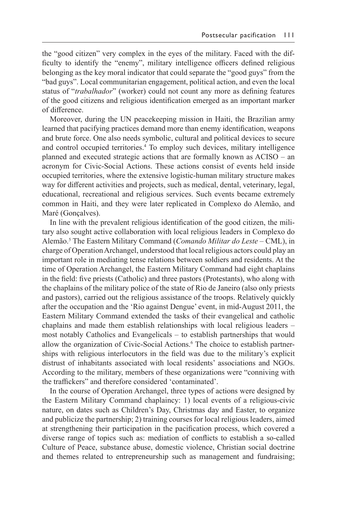the "good citizen" very complex in the eyes of the military. Faced with the difficulty to identify the "enemy", military intelligence officers defined religious belonging as the key moral indicator that could separate the "good guys" from the "bad guys". Local communitarian engagement, political action, and even the local status of "*trabalhador*" (worker) could not count any more as defining features of the good citizens and religious identification emerged as an important marker of difference.

Moreover, during the UN peacekeeping mission in Haiti, the Brazilian army learned that pacifying practices demand more than enemy identification, weapons and brute force. One also needs symbolic, cultural and political devices to secure and control occupied territories.<sup>4</sup> To employ such devices, military intelligence planned and executed strategic actions that are formally known as ACISO – an acronym for Civic-Social Actions. These actions consist of events held inside occupied territories, where the extensive logistic-human military structure makes way for different activities and projects, such as medical, dental, veterinary, legal, educational, recreational and religious services. Such events became extremely common in Haiti, and they were later replicated in Complexo do Alemão, and Maré (Gonçalves).

In line with the prevalent religious identification of the good citizen, the military also sought active collaboration with local religious leaders in Complexo do Alemão.5 The Eastern Military Command (*Comando Militar do Leste* – CML), in charge of Operation Archangel, understood that local religious actors could play an important role in mediating tense relations between soldiers and residents. At the time of Operation Archangel, the Eastern Military Command had eight chaplains in the field: five priests (Catholic) and three pastors (Protestants), who along with the chaplains of the military police of the state of Rio de Janeiro (also only priests and pastors), carried out the religious assistance of the troops. Relatively quickly after the occupation and the 'Rio against Dengue' event, in mid-August 2011, the Eastern Military Command extended the tasks of their evangelical and catholic chaplains and made them establish relationships with local religious leaders – most notably Catholics and Evangelicals – to establish partnerships that would allow the organization of Civic-Social Actions.<sup>6</sup> The choice to establish partnerships with religious interlocutors in the field was due to the military's explicit distrust of inhabitants associated with local residents' associations and NGOs. According to the military, members of these organizations were "conniving with the traffickers" and therefore considered 'contaminated'.

In the course of Operation Archangel, three types of actions were designed by the Eastern Military Command chaplaincy: 1) local events of a religious-civic nature, on dates such as Children's Day, Christmas day and Easter, to organize and publicize the partnership; 2) training courses for local religious leaders, aimed at strengthening their participation in the pacification process, which covered a diverse range of topics such as: mediation of conflicts to establish a so-called Culture of Peace, substance abuse, domestic violence, Christian social doctrine and themes related to entrepreneurship such as management and fundraising;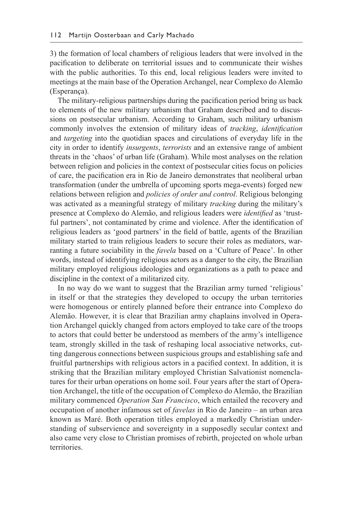3) the formation of local chambers of religious leaders that were involved in the pacification to deliberate on territorial issues and to communicate their wishes with the public authorities. To this end, local religious leaders were invited to meetings at the main base of the Operation Archangel, near Complexo do Alemão (Esperança).

The military-religious partnerships during the pacification period bring us back to elements of the new military urbanism that Graham described and to discussions on postsecular urbanism. According to Graham, such military urbanism commonly involves the extension of military ideas of *tracking*, *identification* and *targeting* into the quotidian spaces and circulations of everyday life in the city in order to identify *insurgents*, *terrorists* and an extensive range of ambient threats in the 'chaos' of urban life (Graham). While most analyses on the relation between religion and policies in the context of postsecular cities focus on policies of care, the pacification era in Rio de Janeiro demonstrates that neoliberal urban transformation (under the umbrella of upcoming sports mega-events) forged new relations between religion and *policies of order and control*. Religious belonging was activated as a meaningful strategy of military *tracking* during the military's presence at Complexo do Alemão, and religious leaders were *identified* as 'trustful partners', not contaminated by crime and violence. After the identification of religious leaders as 'good partners' in the field of battle, agents of the Brazilian military started to train religious leaders to secure their roles as mediators, warranting a future sociability in the *favela* based on a 'Culture of Peace'. In other words, instead of identifying religious actors as a danger to the city, the Brazilian military employed religious ideologies and organizations as a path to peace and discipline in the context of a militarized city.

In no way do we want to suggest that the Brazilian army turned 'religious' in itself or that the strategies they developed to occupy the urban territories were homogenous or entirely planned before their entrance into Complexo do Alemão. However, it is clear that Brazilian army chaplains involved in Operation Archangel quickly changed from actors employed to take care of the troops to actors that could better be understood as members of the army's intelligence team, strongly skilled in the task of reshaping local associative networks, cutting dangerous connections between suspicious groups and establishing safe and fruitful partnerships with religious actors in a pacified context. In addition, it is striking that the Brazilian military employed Christian Salvationist nomenclatures for their urban operations on home soil. Four years after the start of Operation Archangel, the title of the occupation of Complexo do Alemão, the Brazilian military commenced *Operation San Francisco*, which entailed the recovery and occupation of another infamous set of *favelas* in Rio de Janeiro – an urban area known as Maré. Both operation titles employed a markedly Christian understanding of subservience and sovereignty in a supposedly secular context and also came very close to Christian promises of rebirth, projected on whole urban territories.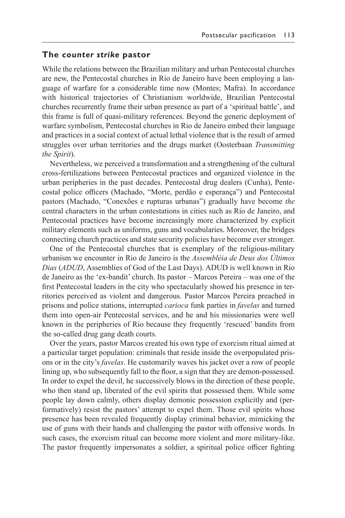#### **The** *counter strike* **pastor**

While the relations between the Brazilian military and urban Pentecostal churches are new, the Pentecostal churches in Rio de Janeiro have been employing a language of warfare for a considerable time now (Montes; Mafra). In accordance with historical trajectories of Christianism worldwide, Brazilian Pentecostal churches recurrently frame their urban presence as part of a 'spiritual battle', and this frame is full of quasi-military references. Beyond the generic deployment of warfare symbolism, Pentecostal churches in Rio de Janeiro embed their language and practices in a social context of actual lethal violence that is the result of armed struggles over urban territories and the drugs market (Oosterbaan *Transmitting the Spirit*).

Nevertheless, we perceived a transformation and a strengthening of the cultural cross-fertilizations between Pentecostal practices and organized violence in the urban peripheries in the past decades. Pentecostal drug dealers (Cunha), Pentecostal police officers (Machado, "Morte, perdão e esperança") and Pentecostal pastors (Machado, "Conexões e rupturas urbanas") gradually have become *the* central characters in the urban contestations in cities such as Rio de Janeiro, and Pentecostal practices have become increasingly more characterized by explicit military elements such as uniforms, guns and vocabularies. Moreover, the bridges connecting church practices and state security policies have become ever stronger.

One of the Pentecostal churches that is exemplary of the religious-military urbanism we encounter in Rio de Janeiro is the *Assembléia de Deus dos Últimos Dias* (*ADUD*, Assemblies of God of the Last Days). ADUD is well known in Rio de Janeiro as the 'ex-bandit' church. Its pastor – Marcos Pereira – was one of the first Pentecostal leaders in the city who spectacularly showed his presence in territories perceived as violent and dangerous. Pastor Marcos Pereira preached in prisons and police stations, interrupted *carioca* funk parties in *favelas* and turned them into open-air Pentecostal services, and he and his missionaries were well known in the peripheries of Rio because they frequently 'rescued' bandits from the so-called drug gang death courts.

Over the years, pastor Marcos created his own type of exorcism ritual aimed at a particular target population: criminals that reside inside the overpopulated prisons or in the city's *favelas*. He customarily waves his jacket over a row of people lining up, who subsequently fall to the floor, a sign that they are demon-possessed. In order to expel the devil, he successively blows in the direction of these people, who then stand up, liberated of the evil spirits that possessed them. While some people lay down calmly, others display demonic possession explicitly and (performatively) resist the pastors' attempt to expel them. Those evil spirits whose presence has been revealed frequently display criminal behavior, mimicking the use of guns with their hands and challenging the pastor with offensive words. In such cases, the exorcism ritual can become more violent and more military-like. The pastor frequently impersonates a soldier, a spiritual police officer fighting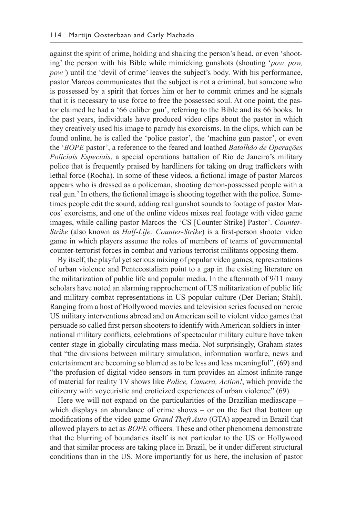against the spirit of crime, holding and shaking the person's head, or even 'shooting' the person with his Bible while mimicking gunshots (shouting '*pow, pow, pow'*) until the 'devil of crime' leaves the subject's body. With his performance, pastor Marcos communicates that the subject is not a criminal, but someone who is possessed by a spirit that forces him or her to commit crimes and he signals that it is necessary to use force to free the possessed soul. At one point, the pastor claimed he had a '66 caliber gun', referring to the Bible and its 66 books. In the past years, individuals have produced video clips about the pastor in which they creatively used his image to parody his exorcisms. In the clips, which can be found online, he is called the 'police pastor', the 'machine gun pastor', or even the '*BOPE* pastor', a reference to the feared and loathed *Batalhão de Operações Policiais Especiais*, a special operations battalion of Rio de Janeiro's military police that is frequently praised by hardliners for taking on drug traffickers with lethal force (Rocha). In some of these videos, a fictional image of pastor Marcos appears who is dressed as a policeman, shooting demon-possessed people with a real gun.<sup>7</sup> In others, the fictional image is shooting together with the police. Sometimes people edit the sound, adding real gunshot sounds to footage of pastor Marcos' exorcisms, and one of the online videos mixes real footage with video game images, while calling pastor Marcos the 'CS [Counter Strike] Pastor'. *Counter-Strike* (also known as *Half-Life: Counter-Strike*) is a first-person shooter video game in which players assume the roles of members of teams of governmental counter-terrorist forces in combat and various terrorist militants opposing them.

By itself, the playful yet serious mixing of popular video games, representations of urban violence and Pentecostalism point to a gap in the existing literature on the militarization of public life and popular media. In the aftermath of 9/11 many scholars have noted an alarming rapprochement of US militarization of public life and military combat representations in US popular culture (Der Derian; Stahl). Ranging from a host of Hollywood movies and television series focused on heroic US military interventions abroad and on American soil to violent video games that persuade so called first person shooters to identify with American soldiers in international military conflicts, celebrations of spectacular military culture have taken center stage in globally circulating mass media. Not surprisingly, Graham states that "the divisions between military simulation, information warfare, news and entertainment are becoming so blurred as to be less and less meaningful", (69) and "the profusion of digital video sensors in turn provides an almost infinite range of material for reality TV shows like *Police, Camera, Action!*, which provide the citizenry with voyeuristic and eroticized experiences of urban violence" (69).

Here we will not expand on the particularities of the Brazilian mediascape – which displays an abundance of crime shows – or on the fact that bottom up modifications of the video game *Grand Theft Auto* (GTA) appeared in Brazil that allowed players to act as *BOPE* officers. These and other phenomena demonstrate that the blurring of boundaries itself is not particular to the US or Hollywood and that similar process are taking place in Brazil, be it under different structural conditions than in the US. More importantly for us here, the inclusion of pastor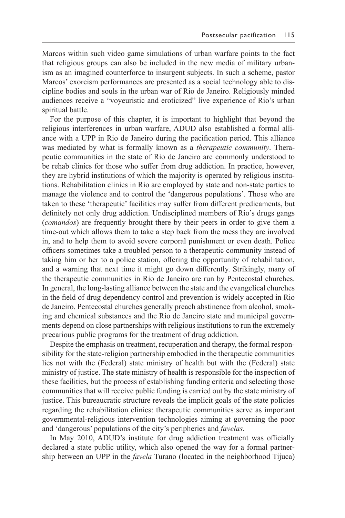Marcos within such video game simulations of urban warfare points to the fact that religious groups can also be included in the new media of military urbanism as an imagined counterforce to insurgent subjects. In such a scheme, pastor Marcos' exorcism performances are presented as a social technology able to discipline bodies and souls in the urban war of Rio de Janeiro. Religiously minded audiences receive a "voyeuristic and eroticized" live experience of Rio's urban spiritual battle.

For the purpose of this chapter, it is important to highlight that beyond the religious interferences in urban warfare, ADUD also established a formal alliance with a UPP in Rio de Janeiro during the pacification period. This alliance was mediated by what is formally known as a *therapeutic community*. Therapeutic communities in the state of Rio de Janeiro are commonly understood to be rehab clinics for those who suffer from drug addiction. In practice, however, they are hybrid institutions of which the majority is operated by religious institutions. Rehabilitation clinics in Rio are employed by state and non-state parties to manage the violence and to control the 'dangerous populations'. Those who are taken to these 'therapeutic' facilities may suffer from different predicaments, but definitely not only drug addiction. Undisciplined members of Rio's drugs gangs (*comandos*) are frequently brought there by their peers in order to give them a time-out which allows them to take a step back from the mess they are involved in, and to help them to avoid severe corporal punishment or even death. Police officers sometimes take a troubled person to a therapeutic community instead of taking him or her to a police station, offering the opportunity of rehabilitation, and a warning that next time it might go down differently. Strikingly, many of the therapeutic communities in Rio de Janeiro are run by Pentecostal churches. In general, the long-lasting alliance between the state and the evangelical churches in the field of drug dependency control and prevention is widely accepted in Rio de Janeiro. Pentecostal churches generally preach abstinence from alcohol, smoking and chemical substances and the Rio de Janeiro state and municipal governments depend on close partnerships with religious institutions to run the extremely precarious public programs for the treatment of drug addiction.

Despite the emphasis on treatment, recuperation and therapy, the formal responsibility for the state-religion partnership embodied in the therapeutic communities lies not with the (Federal) state ministry of health but with the (Federal) state ministry of justice. The state ministry of health is responsible for the inspection of these facilities, but the process of establishing funding criteria and selecting those communities that will receive public funding is carried out by the state ministry of justice. This bureaucratic structure reveals the implicit goals of the state policies regarding the rehabilitation clinics: therapeutic communities serve as important governmental-religious intervention technologies aiming at governing the poor and 'dangerous' populations of the city's peripheries and *favelas*.

In May 2010, ADUD's institute for drug addiction treatment was officially declared a state public utility, which also opened the way for a formal partnership between an UPP in the *favela* Turano (located in the neighborhood Tijuca)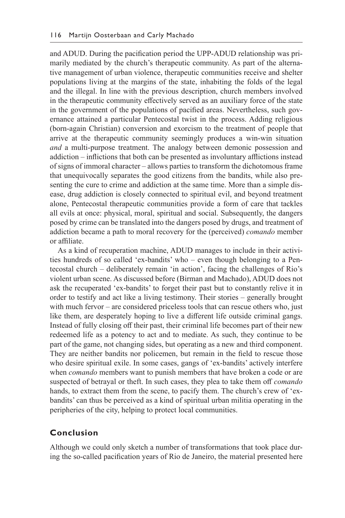and ADUD. During the pacification period the UPP-ADUD relationship was primarily mediated by the church's therapeutic community. As part of the alternative management of urban violence, therapeutic communities receive and shelter populations living at the margins of the state, inhabiting the folds of the legal and the illegal. In line with the previous description, church members involved in the therapeutic community effectively served as an auxiliary force of the state in the government of the populations of pacified areas. Nevertheless, such governance attained a particular Pentecostal twist in the process. Adding religious (born-again Christian) conversion and exorcism to the treatment of people that arrive at the therapeutic community seemingly produces a win-win situation *and* a multi-purpose treatment. The analogy between demonic possession and addiction – inflictions that both can be presented as involuntary afflictions instead of signs of immoral character – allows parties to transform the dichotomous frame that unequivocally separates the good citizens from the bandits, while also presenting the cure to crime and addiction at the same time. More than a simple disease, drug addiction is closely connected to spiritual evil, and beyond treatment alone, Pentecostal therapeutic communities provide a form of care that tackles all evils at once: physical, moral, spiritual and social. Subsequently, the dangers posed by crime can be translated into the dangers posed by drugs, and treatment of addiction became a path to moral recovery for the (perceived) *comando* member or affiliate.

As a kind of recuperation machine, ADUD manages to include in their activities hundreds of so called 'ex-bandits' who – even though belonging to a Pentecostal church – deliberately remain 'in action', facing the challenges of Rio's violent urban scene. As discussed before (Birman and Machado), ADUD does not ask the recuperated 'ex-bandits' to forget their past but to constantly relive it in order to testify and act like a living testimony. Their stories – generally brought with much fervor – are considered priceless tools that can rescue others who, just like them, are desperately hoping to live a different life outside criminal gangs. Instead of fully closing off their past, their criminal life becomes part of their new redeemed life as a potency to act and to mediate. As such, they continue to be part of the game, not changing sides, but operating as a new and third component. They are neither bandits nor policemen, but remain in the field to rescue those who desire spiritual exile. In some cases, gangs of 'ex-bandits' actively interfere when *comando* members want to punish members that have broken a code or are suspected of betrayal or theft. In such cases, they plea to take them off *comando* hands, to extract them from the scene, to pacify them. The church's crew of 'exbandits' can thus be perceived as a kind of spiritual urban militia operating in the peripheries of the city, helping to protect local communities.

# **Conclusion**

Although we could only sketch a number of transformations that took place during the so-called pacification years of Rio de Janeiro, the material presented here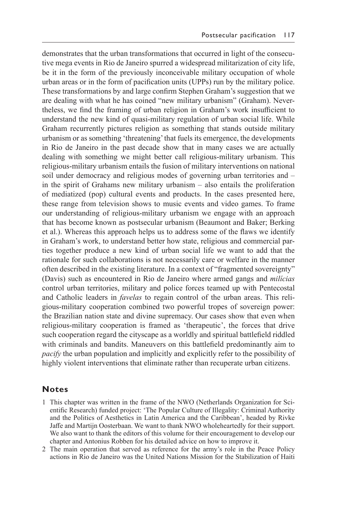demonstrates that the urban transformations that occurred in light of the consecutive mega events in Rio de Janeiro spurred a widespread militarization of city life, be it in the form of the previously inconceivable military occupation of whole urban areas or in the form of pacification units (UPPs) run by the military police. These transformations by and large confirm Stephen Graham's suggestion that we are dealing with what he has coined "new military urbanism" (Graham). Nevertheless, we find the framing of urban religion in Graham's work insufficient to understand the new kind of quasi-military regulation of urban social life. While Graham recurrently pictures religion as something that stands outside military urbanism or as something 'threatening' that fuels its emergence, the developments in Rio de Janeiro in the past decade show that in many cases we are actually dealing with something we might better call religious-military urbanism. This religious-military urbanism entails the fusion of military interventions on national soil under democracy and religious modes of governing urban territories and – in the spirit of Grahams new military urbanism – also entails the proliferation of mediatized (pop) cultural events and products. In the cases presented here, these range from television shows to music events and video games. To frame our understanding of religious-military urbanism we engage with an approach that has become known as postsecular urbanism (Beaumont and Baker; Berking et al.). Whereas this approach helps us to address some of the flaws we identify in Graham's work, to understand better how state, religious and commercial parties together produce a new kind of urban social life we want to add that the rationale for such collaborations is not necessarily care or welfare in the manner often described in the existing literature. In a context of "fragmented sovereignty" (Davis) such as encountered in Rio de Janeiro where armed gangs and *milícias* control urban territories, military and police forces teamed up with Pentecostal and Catholic leaders in *favelas* to regain control of the urban areas. This religious-military cooperation combined two powerful tropes of sovereign power: the Brazilian nation state and divine supremacy. Our cases show that even when religious-military cooperation is framed as 'therapeutic', the forces that drive such cooperation regard the cityscape as a worldly and spiritual battlefield riddled with criminals and bandits. Maneuvers on this battlefield predominantly aim to *pacify* the urban population and implicitly and explicitly refer to the possibility of highly violent interventions that eliminate rather than recuperate urban citizens.

## **Notes**

- 1 This chapter was written in the frame of the NWO (Netherlands Organization for Scientific Research) funded project: 'The Popular Culture of Illegality: Criminal Authority and the Politics of Aesthetics in Latin America and the Caribbean', headed by Rivke Jaffe and Martijn Oosterbaan. We want to thank NWO wholeheartedly for their support. We also want to thank the editors of this volume for their encouragement to develop our chapter and Antonius Robben for his detailed advice on how to improve it.
- 2 The main operation that served as reference for the army's role in the Peace Policy actions in Rio de Janeiro was the United Nations Mission for the Stabilization of Haiti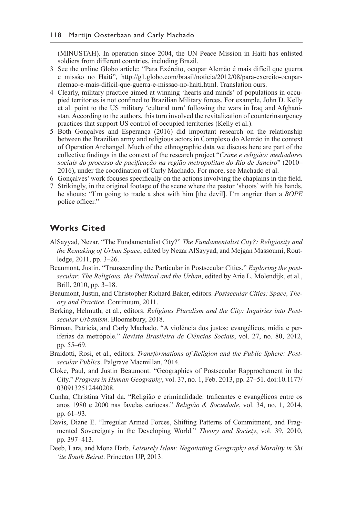(MINUSTAH). In operation since 2004, the UN Peace Mission in Haiti has enlisted soldiers from different countries, including Brazil.

- 3 See the online Globo article: "Para Exército, ocupar Alemão é mais difícil que guerra e missão no Haiti", [http://g1.globo.com/brasil/noticia/2012/08/para-exercito-ocupar](http://g1.globo.com)[alemao-e-mais-dificil-que-guerra-e-missao-no-haiti.html](http://g1.globo.com). Translation ours.
- 4 Clearly, military practice aimed at winning 'hearts and minds' of populations in occupied territories is not confined to Brazilian Military forces. For example, John D. Kelly et al. point to the US military 'cultural turn' following the wars in Iraq and Afghanistan. According to the authors, this turn involved the revitalization of counterinsurgency practices that support US control of occupied territories (Kelly et al.).
- 5 Both Gonçalves and Esperança (2016) did important research on the relationship between the Brazilian army and religious actors in Complexo do Alemão in the context of Operation Archangel. Much of the ethnographic data we discuss here are part of the collective findings in the context of the research project "*Crime e religião: mediadores sociais do processo de pacificação na região metropolitan do Rio de Janeiro*" (2010– 2016), under the coordination of Carly Machado. For more, see Machado et al.
- 6 Gonçalves' work focuses specifically on the actions involving the chaplains in the field.
- 7 Strikingly, in the original footage of the scene where the pastor 'shoots' with his hands, he shouts: "I'm going to trade a shot with him [the devil]. I'm angrier than a *BOPE* police officer."

## **Works Cited**

- AlSayyad, Nezar. "The Fundamentalist City?" *The Fundamentalist City?: Religiosity and the Remaking of Urban Space*, edited by Nezar AlSayyad, and Mejgan Massoumi, Routledge, 2011, pp. 3–26.
- Beaumont, Justin. "Transcending the Particular in Postsecular Cities." *Exploring the postsecular: The Religious, the Political and the Urban*, edited by Arie L. Molendijk, et al., Brill, 2010, pp. 3–18.
- Beaumont, Justin, and Christopher Richard Baker, editors. *Postsecular Cities: Space, Theory and Practice*. Continuum, 2011.
- Berking, Helmuth, et al., editors. *Religious Pluralism and the City: Inquiries into Postsecular Urbanism*. Bloomsbury, 2018.
- Birman, Patricia, and Carly Machado. "A violência dos justos: evangélicos, mídia e periferias da metrópole." *Revista Brasileira de Ciências Sociais*, vol. 27, no. 80, 2012, pp. 55–69.
- Braidotti, Rosi, et al., editors. *Transformations of Religion and the Public Sphere: Postsecular Publics*. Palgrave Macmillan, 2014.
- Cloke, Paul, and Justin Beaumont. "Geographies of Postsecular Rapprochement in the City." *Progress in Human Geography*, vol. 37, no. 1, Feb. 2013, pp. 27–51. doi:10.1177/ 0309132512440208.
- Cunha, Christina Vital da. "Religião e criminalidade: traficantes e evangélicos entre os anos 1980 e 2000 nas favelas cariocas." *Religião & Sociedade*, vol. 34, no. 1, 2014, pp. 61–93.
- Davis, Diane E. "Irregular Armed Forces, Shifting Patterns of Commitment, and Fragmented Sovereignty in the Developing World." *Theory and Society*, vol. 39, 2010, pp. 397–413.
- Deeb, Lara, and Mona Harb. *Leisurely Islam: Negotiating Geography and Morality in Shi 'ite South Beirut*. Princeton UP, 2013.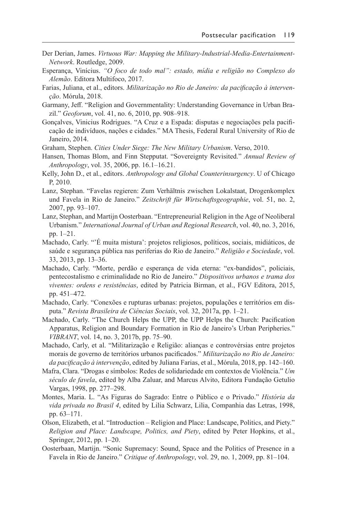- Der Derian, James. *Virtuous War: Mapping the Military-Industrial-Media-Entertainment-Network*. Routledge, 2009.
- Esperança, Vinícius. *"O foco de todo mal": estado, mídia e religião no Complexo do Alemão*. Editora Multifoco, 2017.
- Farias, Juliana, et al., editors. *Militarização no Rio de Janeiro: da pacificação à intervenção*. Mórula, 2018.
- Garmany, Jeff. "Religion and Governmentality: Understanding Governance in Urban Brazil." *Geoforum*, vol. 41, no. 6, 2010, pp. 908–918.
- Gonçalves, Vinicius Rodrigues. "A Cruz e a Espada: disputas e negociações pela pacificação de indivíduos, nações e cidades." MA Thesis, Federal Rural University of Rio de Janeiro, 2014.
- Graham, Stephen. *Cities Under Siege: The New Military Urbanism*. Verso, 2010.
- Hansen, Thomas Blom, and Finn Stepputat. "Sovereignty Revisited." *Annual Review of Anthropology*, vol. 35, 2006, pp. 16.1–16.21.
- Kelly, John D., et al., editors. *Anthropology and Global Counterinsurgency*. U of Chicago P, 2010.
- Lanz, Stephan. "Favelas regieren: Zum Verhältnis zwischen Lokalstaat, Drogenkomplex und Favela in Rio de Janeiro." *Zeitschrift für Wirtschaftsgeographie*, vol. 51, no. 2, 2007, pp. 93–107.
- Lanz, Stephan, and Martijn Oosterbaan. "Entrepreneurial Religion in the Age of Neoliberal Urbanism." *International Journal of Urban and Regional Research*, vol. 40, no. 3, 2016, pp. 1–21.
- Machado, Carly. "'É muita mistura': projetos religiosos, políticos, sociais, midiáticos, de saúde e segurança pública nas periferias do Rio de Janeiro." *Religião e Sociedade*, vol. 33, 2013, pp. 13–36.
- Machado, Carly. "Morte, perdão e esperança de vida eterna: "ex-bandidos", policiais, pentecostalismo e criminalidade no Rio de Janeiro." *Dispositivos urbanos e trama dos viventes: ordens e resistências*, edited by Patricia Birman, et al., FGV Editora, 2015, pp. 451–472.
- Machado, Carly. "Conexões e rupturas urbanas: projetos, populações e territórios em disputa." *Revista Brasileira de Ciências Sociais*, vol. 32, 2017a, pp. 1–21.
- Machado, Carly. "The Church Helps the UPP, the UPP Helps the Church: Pacification Apparatus, Religion and Boundary Formation in Rio de Janeiro's Urban Peripheries." *VIBRANT*, vol. 14, no. 3, 2017b, pp. 75–90.
- Machado, Carly, et al. "Militarização e Religião: alianças e controvérsias entre projetos morais de governo de territórios urbanos pacificados." *Militarização no Rio de Janeiro: da pacificação à intervenção*, edited by Juliana Farias, et al., Mórula, 2018, pp. 142–160.
- Mafra, Clara. "Drogas e símbolos: Redes de solidariedade em contextos de Violência." *Um século de favela*, edited by Alba Zaluar, and Marcus Alvito, Editora Fundação Getulio Vargas, 1998, pp. 277–298.
- Montes, Maria. L. "As Figuras do Sagrado: Entre o Público e o Privado." *História da vida privada no Brasil 4*, edited by Lilia Schwarz, Lilia, Companhia das Letras, 1998, pp. 63–171.
- Olson, Elizabeth, et al. "Introduction Religion and Place: Landscape, Politics, and Piety." *Religion and Place: Landscape, Politics, and Piety*, edited by Peter Hopkins, et al., Springer, 2012, pp. 1–20.
- Oosterbaan, Martijn. "Sonic Supremacy: Sound, Space and the Politics of Presence in a Favela in Rio de Janeiro." *Critique of Anthropology*, vol. 29, no. 1, 2009, pp. 81–104.